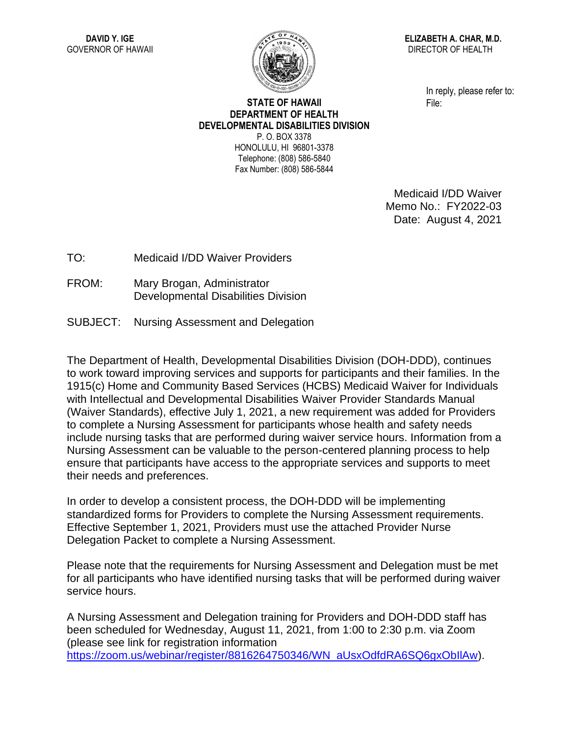

**ELIZABETH A. CHAR, M.D.** DIRECTOR OF HEALTH

> In reply, please refer to: File:

## **STATE OF HAWAII DEPARTMENT OF HEALTH DEVELOPMENTAL DISABILITIES DIVISION** P. O. BOX 3378 HONOLULU, HI 96801-3378 Telephone: (808) 586-5840

Fax Number: (808) 586-5844

Medicaid I/DD Waiver Memo No.: FY2022-03 Date: August 4, 2021

TO: Medicaid I/DD Waiver Providers

- FROM: Mary Brogan, Administrator Developmental Disabilities Division
- SUBJECT: Nursing Assessment and Delegation

The Department of Health, Developmental Disabilities Division (DOH-DDD), continues to work toward improving services and supports for participants and their families. In the 1915(c) Home and Community Based Services (HCBS) Medicaid Waiver for Individuals with Intellectual and Developmental Disabilities Waiver Provider Standards Manual (Waiver Standards), effective July 1, 2021, a new requirement was added for Providers to complete a Nursing Assessment for participants whose health and safety needs include nursing tasks that are performed during waiver service hours. Information from a Nursing Assessment can be valuable to the person-centered planning process to help ensure that participants have access to the appropriate services and supports to meet their needs and preferences.

In order to develop a consistent process, the DOH-DDD will be implementing standardized forms for Providers to complete the Nursing Assessment requirements. Effective September 1, 2021, Providers must use the attached Provider Nurse Delegation Packet to complete a Nursing Assessment.

Please note that the requirements for Nursing Assessment and Delegation must be met for all participants who have identified nursing tasks that will be performed during waiver service hours.

A Nursing Assessment and Delegation training for Providers and DOH-DDD staff has been scheduled for Wednesday, August 11, 2021, from 1:00 to 2:30 p.m. via Zoom (please see link for registration information [https://zoom.us/webinar/register/8816264750346/WN\\_aUsxOdfdRA6SQ6gxObIlAw\)](https://zoom.us/webinar/register/8816264750346/WN_aUsxOdfdRA6SQ6gxObIlAw).